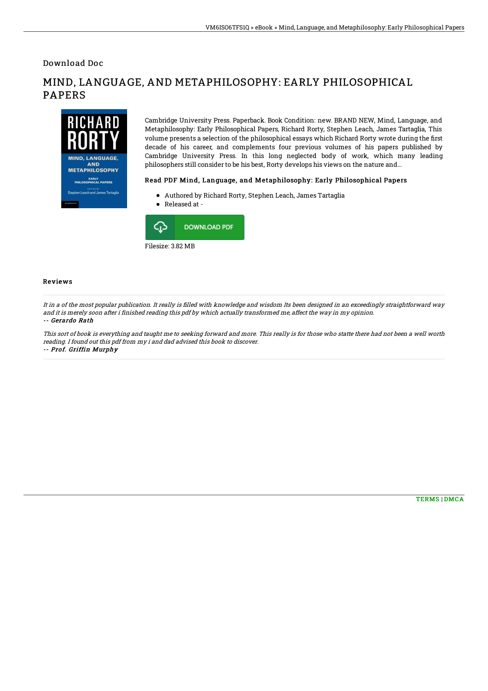Download Doc

# **LANGUAGE AND METAPHILOSOPHY** EARLY<br>HILOSOPHICAL PAPERS EDITED BY<br>Stephen Leach and James Tartaglia

MIND, LANGUAGE, AND METAPHILOSOPHY: EARLY PHILOSOPHICAL PAPERS

> Cambridge University Press. Paperback. Book Condition: new. BRAND NEW, Mind, Language, and Metaphilosophy: Early Philosophical Papers, Richard Rorty, Stephen Leach, James Tartaglia, This volume presents a selection of the philosophical essays which Richard Rorty wrote during the first decade of his career, and complements four previous volumes of his papers published by Cambridge University Press. In this long neglected body of work, which many leading philosophers still consider to be his best, Rorty develops his views on the nature and...

### Read PDF Mind, Language, and Metaphilosophy: Early Philosophical Papers

- Authored by Richard Rorty, Stephen Leach, James Tartaglia
- Released at -



Filesize: 3.82 MB

#### Reviews

It in a of the most popular publication. It really is filled with knowledge and wisdom Its been designed in an exceedingly straightforward way and it is merely soon after i finished reading this pdf by which actually transformed me, affect the way in my opinion.

#### -- Gerardo Rath

This sort of book is everything and taught me to seeking forward and more. This really is for those who statte there had not been <sup>a</sup> well worth reading. I found out this pdf from my i and dad advised this book to discover. -- Prof. Griffin Murphy